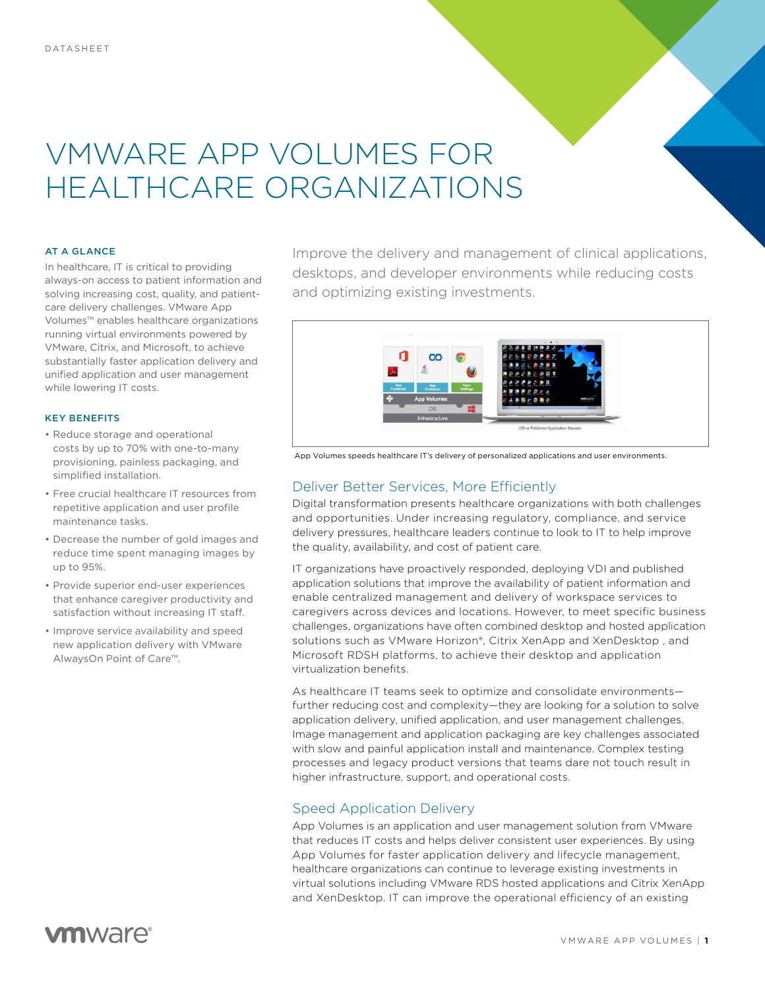# VMWARE APP VOLUMES FOR HEALTHCARE ORGANIZATIONS

#### AT A GLANCE

In healthcare, IT is critical to providing always-on access to patient information and solving increasing cost, quality, and patientcare delivery challenges. VMware App Volumes™ enables healthcare organizations running virtual environments powered by VMware, Citrix, and Microsoft, to achieve substantially faster application delivery and unified application and user management while lowering IT costs.

#### KEY BENEFITS

- Reduce storage and operational costs by up to 70% with one-to-many provisioning, painless packaging, and simplified installation.
- Free crucial healthcare IT resources from repetitive application and user profile maintenance tasks.
- Decrease the number of gold images and reduce time spent managing images by up to 95%.
- Provide superior end-user experiences that enhance caregiver productivity and satisfaction without increasing IT staff.
- Improve service availability and speed new application delivery with VMware AlwaysOn Point of Care™.

Improve the delivery and management of clinical applications, desktops, and developer environments while reducing costs and optimizing existing investments.



App Volumes speeds healthcare IT's delivery of personalized applications and user environments.

# Deliver Better Services, More Efficiently

Digital transformation presents healthcare organizations with both challenges and opportunities. Under increasing regulatory, compliance, and service delivery pressures, healthcare leaders continue to look to IT to help improve the quality, availability, and cost of patient care.

IT organizations have proactively responded, deploying VDI and published application solutions that improve the availability of patient information and enable centralized management and delivery of workspace services to caregivers across devices and locations. However, to meet specific business challenges, organizations have often combined desktop and hosted application solutions such as VMware Horizon®, Citrix XenApp and XenDesktop, and Microsoft RDSH platforms, to achieve their desktop and application virtualization benefits.

As healthcare IT teams seek to optimize and consolidate environments further reducing cost and complexity—they are looking for a solution to solve application delivery, unified application, and user management challenges. Image management and application packaging are key challenges associated with slow and painful application install and maintenance. Complex testing processes and legacy product versions that teams dare not touch result in higher infrastructure, support, and operational costs.

### Speed Application Delivery

App Volumes is an application and user management solution from VMware that reduces IT costs and helps deliver consistent user experiences. By using App Volumes for faster application delivery and lifecycle management, healthcare organizations can continue to leverage existing investments in virtual solutions including VMware RDS hosted applications and Citrix XenApp and XenDesktop. IT can improve the operational efficiency of an existing